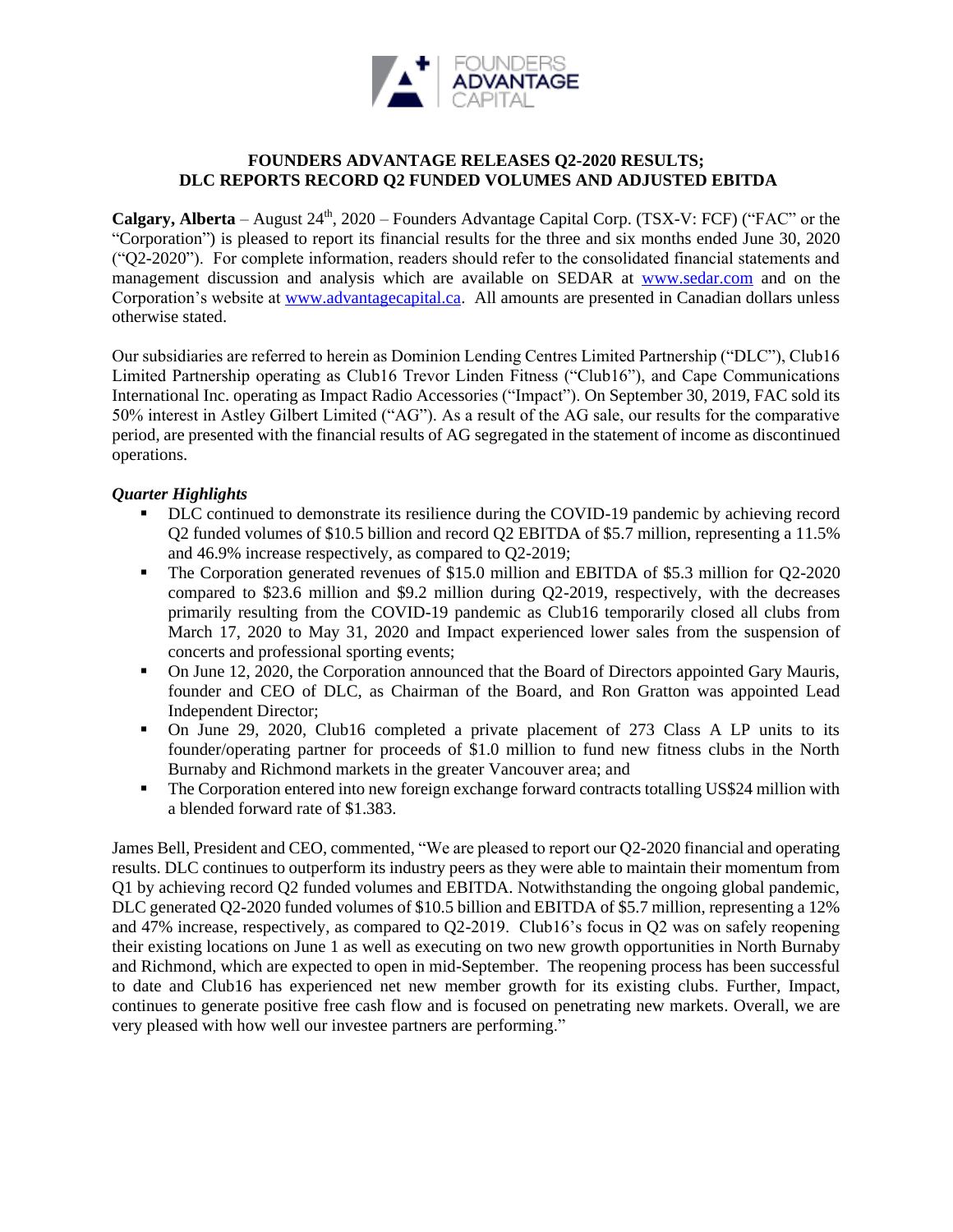

# **FOUNDERS ADVANTAGE RELEASES Q2-2020 RESULTS; DLC REPORTS RECORD Q2 FUNDED VOLUMES AND ADJUSTED EBITDA**

**Calgary, Alberta** – August 24<sup>th</sup>, 2020 – Founders Advantage Capital Corp. (TSX-V: FCF) ("FAC" or the "Corporation") is pleased to report its financial results for the three and six months ended June 30, 2020 ("Q2-2020"). For complete information, readers should refer to the consolidated financial statements and management discussion and analysis which are available on SEDAR at [www.sedar.com](http://www.sedar.com/) and on the Corporation's website at [www.advantagecapital.ca.](http://www.advantagecapital.ca/) All amounts are presented in Canadian dollars unless otherwise stated.

Our subsidiaries are referred to herein as Dominion Lending Centres Limited Partnership ("DLC"), Club16 Limited Partnership operating as Club16 Trevor Linden Fitness ("Club16"), and Cape Communications International Inc. operating as Impact Radio Accessories ("Impact"). On September 30, 2019, FAC sold its 50% interest in Astley Gilbert Limited ("AG"). As a result of the AG sale, our results for the comparative period, are presented with the financial results of AG segregated in the statement of income as discontinued operations.

# *Quarter Highlights*

- DLC continued to demonstrate its resilience during the COVID-19 pandemic by achieving record Q2 funded volumes of \$10.5 billion and record Q2 EBITDA of \$5.7 million, representing a 11.5% and 46.9% increase respectively, as compared to Q2-2019;
- The Corporation generated revenues of \$15.0 million and EBITDA of \$5.3 million for Q2-2020 compared to \$23.6 million and \$9.2 million during Q2-2019, respectively, with the decreases primarily resulting from the COVID-19 pandemic as Club16 temporarily closed all clubs from March 17, 2020 to May 31, 2020 and Impact experienced lower sales from the suspension of concerts and professional sporting events;
- On June 12, 2020, the Corporation announced that the Board of Directors appointed Gary Mauris, founder and CEO of DLC, as Chairman of the Board, and Ron Gratton was appointed Lead Independent Director;
- On June 29, 2020, Club16 completed a private placement of 273 Class A LP units to its founder/operating partner for proceeds of \$1.0 million to fund new fitness clubs in the North Burnaby and Richmond markets in the greater Vancouver area; and
- **•** The Corporation entered into new foreign exchange forward contracts totalling US\$24 million with a blended forward rate of \$1.383.

James Bell, President and CEO, commented, "We are pleased to report our Q2-2020 financial and operating results. DLC continues to outperform its industry peers as they were able to maintain their momentum from Q1 by achieving record Q2 funded volumes and EBITDA. Notwithstanding the ongoing global pandemic, DLC generated Q2-2020 funded volumes of \$10.5 billion and EBITDA of \$5.7 million, representing a 12% and 47% increase, respectively, as compared to Q2-2019. Club16's focus in Q2 was on safely reopening their existing locations on June 1 as well as executing on two new growth opportunities in North Burnaby and Richmond, which are expected to open in mid-September. The reopening process has been successful to date and Club16 has experienced net new member growth for its existing clubs. Further, Impact, continues to generate positive free cash flow and is focused on penetrating new markets. Overall, we are very pleased with how well our investee partners are performing."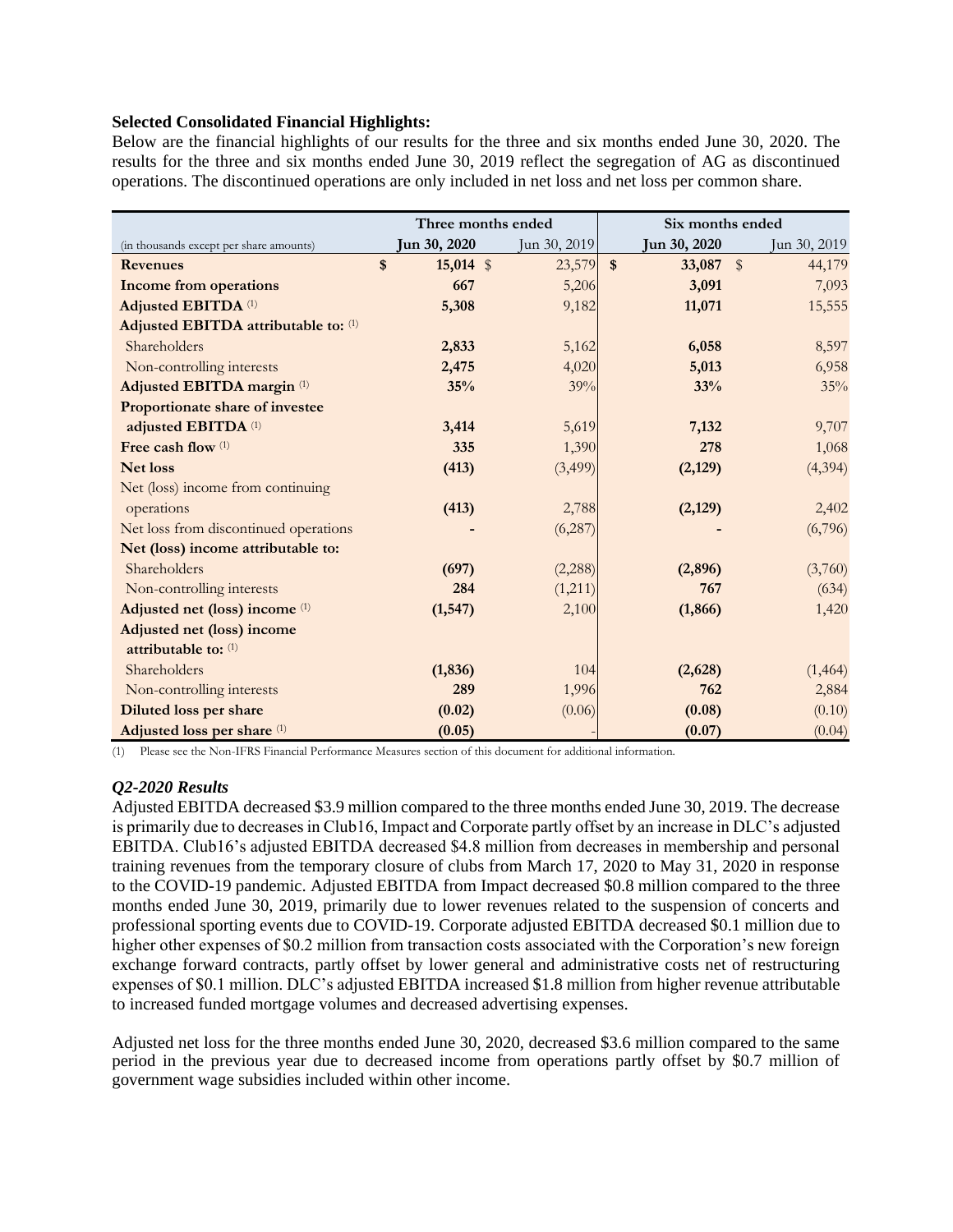## **Selected Consolidated Financial Highlights:**

Below are the financial highlights of our results for the three and six months ended June 30, 2020. The results for the three and six months ended June 30, 2019 reflect the segregation of AG as discontinued operations. The discontinued operations are only included in net loss and net loss per common share.

|                                         | Three months ended           |              | Six months ended       |                         |
|-----------------------------------------|------------------------------|--------------|------------------------|-------------------------|
| (in thousands except per share amounts) | Jun 30, 2020                 | Jun 30, 2019 | Jun 30, 2020           | Jun 30, 2019            |
| <b>Revenues</b>                         | $15,014$ \$<br>$\mathbf{\$}$ | 23,579       | $\mathbf{s}$<br>33,087 | $\sqrt[3]{2}$<br>44,179 |
| <b>Income from operations</b>           | 667                          | 5,206        | 3,091                  | 7,093                   |
| <b>Adjusted EBITDA (1)</b>              | 5,308                        | 9,182        | 11,071                 | 15,555                  |
| Adjusted EBITDA attributable to: (1)    |                              |              |                        |                         |
| Shareholders                            | 2,833                        | 5,162        | 6,058                  | 8,597                   |
| Non-controlling interests               | 2,475                        | 4,020        | 5,013                  | 6,958                   |
| Adjusted EBITDA margin (1)              | 35%                          | 39%          | 33%                    | 35%                     |
| Proportionate share of investee         |                              |              |                        |                         |
| adjusted EBITDA <sup>(1)</sup>          | 3,414                        | 5,619        | 7,132                  | 9,707                   |
| Free cash flow (1)                      | 335                          | 1,390        | 278                    | 1,068                   |
| <b>Net loss</b>                         | (413)                        | (3,499)      | (2,129)                | (4, 394)                |
| Net (loss) income from continuing       |                              |              |                        |                         |
| operations                              | (413)                        | 2,788        | (2,129)                | 2,402                   |
| Net loss from discontinued operations   |                              | (6,287)      |                        | (6,796)                 |
| Net (loss) income attributable to:      |                              |              |                        |                         |
| Shareholders                            | (697)                        | (2,288)      | (2,896)                | (3,760)                 |
| Non-controlling interests               | 284                          | (1,211)      | 767                    | (634)                   |
| Adjusted net (loss) income (1)          | (1, 547)                     | 2,100        | (1, 866)               | 1,420                   |
| Adjusted net (loss) income              |                              |              |                        |                         |
| attributable to: $(1)$                  |                              |              |                        |                         |
| Shareholders                            | (1, 836)                     | 104          | (2,628)                | (1, 464)                |
| Non-controlling interests               | 289                          | 1,996        | 762                    | 2,884                   |
| <b>Diluted loss per share</b>           | (0.02)                       | (0.06)       | (0.08)                 | (0.10)                  |
| Adjusted loss per share (1)             | (0.05)                       |              | (0.07)                 | (0.04)                  |

(1) Please see the Non-IFRS Financial Performance Measures section of this document for additional information.

# *Q2-2020 Results*

Adjusted EBITDA decreased \$3.9 million compared to the three months ended June 30, 2019. The decrease is primarily due to decreases in Club16, Impact and Corporate partly offset by an increase in DLC's adjusted EBITDA. Club16's adjusted EBITDA decreased \$4.8 million from decreases in membership and personal training revenues from the temporary closure of clubs from March 17, 2020 to May 31, 2020 in response to the COVID-19 pandemic. Adjusted EBITDA from Impact decreased \$0.8 million compared to the three months ended June 30, 2019, primarily due to lower revenues related to the suspension of concerts and professional sporting events due to COVID-19. Corporate adjusted EBITDA decreased \$0.1 million due to higher other expenses of \$0.2 million from transaction costs associated with the Corporation's new foreign exchange forward contracts, partly offset by lower general and administrative costs net of restructuring expenses of \$0.1 million. DLC's adjusted EBITDA increased \$1.8 million from higher revenue attributable to increased funded mortgage volumes and decreased advertising expenses.

Adjusted net loss for the three months ended June 30, 2020, decreased \$3.6 million compared to the same period in the previous year due to decreased income from operations partly offset by \$0.7 million of government wage subsidies included within other income.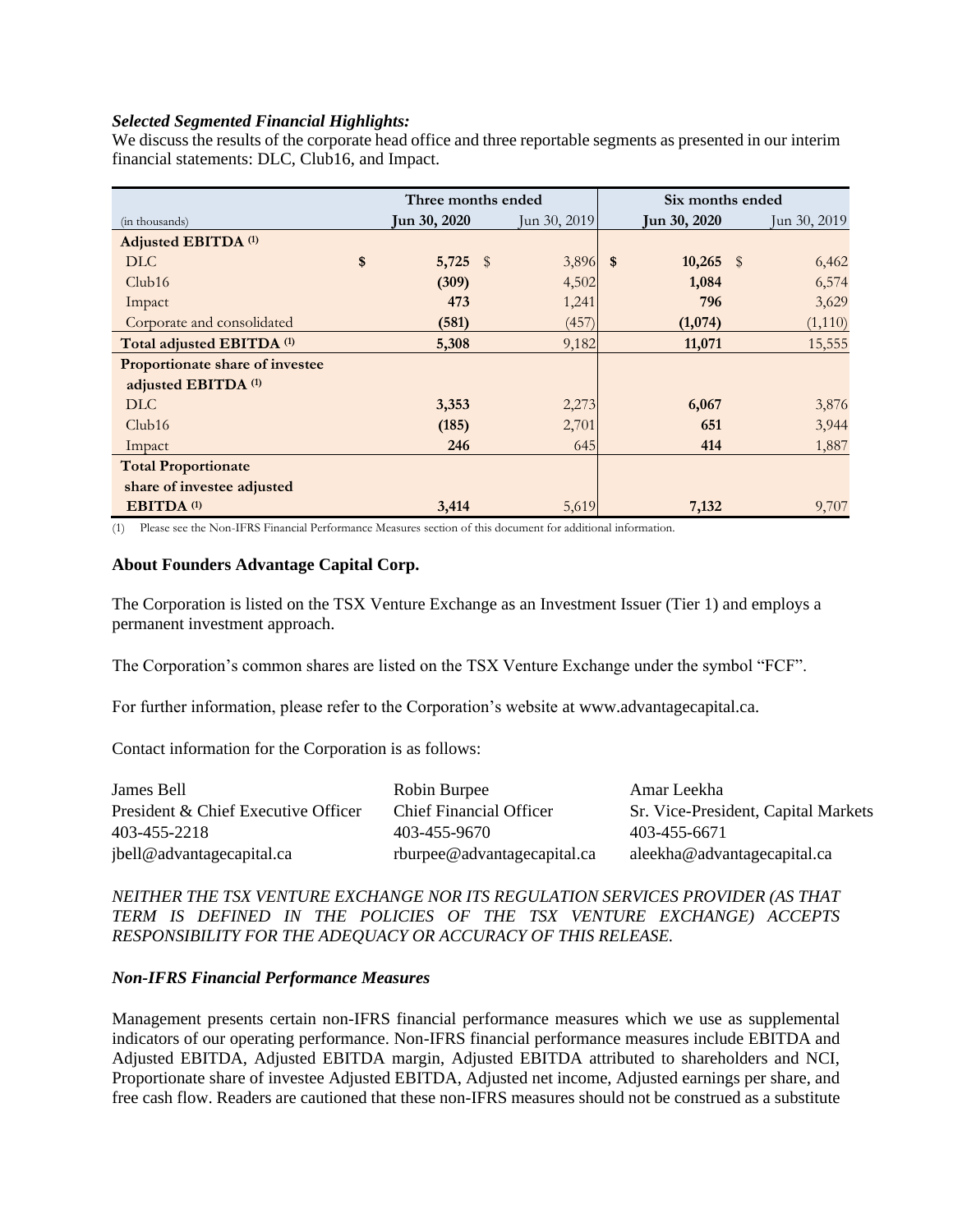## *Selected Segmented Financial Highlights:*

We discuss the results of the corporate head office and three reportable segments as presented in our interim financial statements: DLC, Club16, and Impact.

|                                      | Three months ended |  | Six months ended |  |              |      |              |
|--------------------------------------|--------------------|--|------------------|--|--------------|------|--------------|
| (in thousands)                       | Jun 30, 2020       |  | Jun 30, 2019     |  | Jun 30, 2020 |      | Jun 30, 2019 |
| Adjusted EBITDA <sup>(1)</sup>       |                    |  |                  |  |              |      |              |
| DLC                                  | \$<br>$5,725$ \$   |  | $3,896$ \$       |  | 10,265       | - \$ | 6,462        |
| Club16                               | (309)              |  | 4,502            |  | 1,084        |      | 6,574        |
| Impact                               | 473                |  | 1,241            |  | 796          |      | 3,629        |
| Corporate and consolidated           | (581)              |  | (457)            |  | (1,074)      |      | (1,110)      |
| Total adjusted EBITDA <sup>(1)</sup> | 5,308              |  | 9,182            |  | 11,071       |      | 15,555       |
| Proportionate share of investee      |                    |  |                  |  |              |      |              |
| adjusted EBITDA <sup>(1)</sup>       |                    |  |                  |  |              |      |              |
| DLC                                  | 3,353              |  | 2,273            |  | 6,067        |      | 3,876        |
| Club16                               | (185)              |  | 2,701            |  | 651          |      | 3,944        |
| Impact                               | 246                |  | 645              |  | 414          |      | 1,887        |
| <b>Total Proportionate</b>           |                    |  |                  |  |              |      |              |
| share of investee adjusted           |                    |  |                  |  |              |      |              |
| EBITDA <sup>(1)</sup>                | 3,414              |  | 5,619            |  | 7,132        |      | 9,707        |

(1) Please see the Non-IFRS Financial Performance Measures section of this document for additional information.

## **About Founders Advantage Capital Corp.**

The Corporation is listed on the TSX Venture Exchange as an Investment Issuer (Tier 1) and employs a permanent investment approach.

The Corporation's common shares are listed on the TSX Venture Exchange under the symbol "FCF".

For further information, please refer to the Corporation's website at www.advantagecapital.ca.

Contact information for the Corporation is as follows:

| James Bell                          | Robin Burpee                | Amar Leekha                         |
|-------------------------------------|-----------------------------|-------------------------------------|
| President & Chief Executive Officer | Chief Financial Officer     | Sr. Vice-President, Capital Markets |
| 403-455-2218                        | 403-455-9670                | 403-455-6671                        |
| jbell@advantagecapital.ca           | rburpee@advantagecapital.ca | aleekha@advantagecapital.ca         |

*NEITHER THE TSX VENTURE EXCHANGE NOR ITS REGULATION SERVICES PROVIDER (AS THAT TERM IS DEFINED IN THE POLICIES OF THE TSX VENTURE EXCHANGE) ACCEPTS RESPONSIBILITY FOR THE ADEQUACY OR ACCURACY OF THIS RELEASE.*

#### *Non-IFRS Financial Performance Measures*

Management presents certain non-IFRS financial performance measures which we use as supplemental indicators of our operating performance. Non-IFRS financial performance measures include EBITDA and Adjusted EBITDA, Adjusted EBITDA margin, Adjusted EBITDA attributed to shareholders and NCI, Proportionate share of investee Adjusted EBITDA, Adjusted net income, Adjusted earnings per share, and free cash flow. Readers are cautioned that these non-IFRS measures should not be construed as a substitute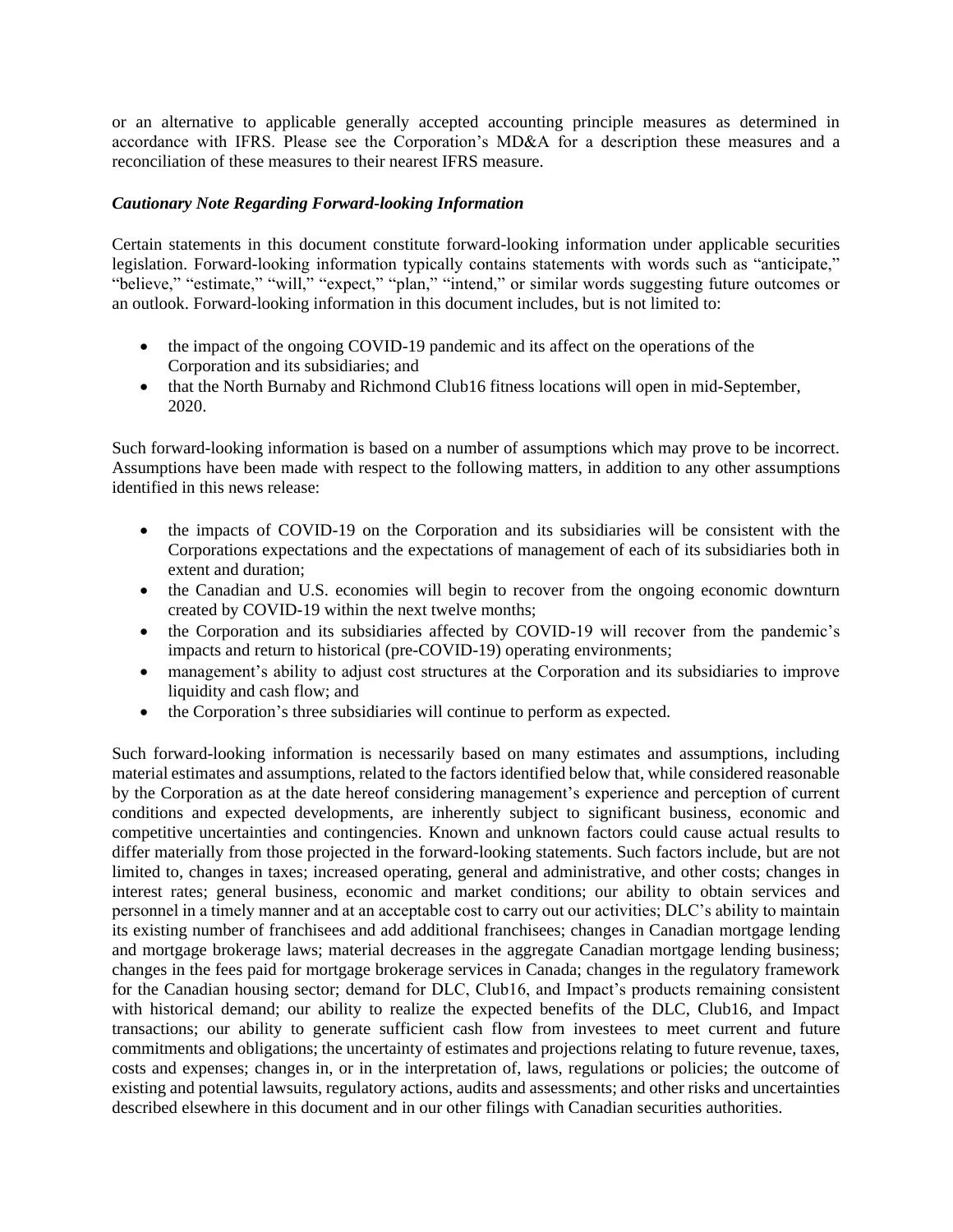or an alternative to applicable generally accepted accounting principle measures as determined in accordance with IFRS. Please see the Corporation's MD&A for a description these measures and a reconciliation of these measures to their nearest IFRS measure.

# *Cautionary Note Regarding Forward-looking Information*

Certain statements in this document constitute forward-looking information under applicable securities legislation. Forward-looking information typically contains statements with words such as "anticipate," "believe," "estimate," "will," "expect," "plan," "intend," or similar words suggesting future outcomes or an outlook. Forward-looking information in this document includes, but is not limited to:

- the impact of the ongoing COVID-19 pandemic and its affect on the operations of the Corporation and its subsidiaries; and
- that the North Burnaby and Richmond Club16 fitness locations will open in mid-September, 2020.

Such forward-looking information is based on a number of assumptions which may prove to be incorrect. Assumptions have been made with respect to the following matters, in addition to any other assumptions identified in this news release:

- the impacts of COVID-19 on the Corporation and its subsidiaries will be consistent with the Corporations expectations and the expectations of management of each of its subsidiaries both in extent and duration;
- the Canadian and U.S. economies will begin to recover from the ongoing economic downturn created by COVID-19 within the next twelve months;
- the Corporation and its subsidiaries affected by COVID-19 will recover from the pandemic's impacts and return to historical (pre-COVID-19) operating environments;
- management's ability to adjust cost structures at the Corporation and its subsidiaries to improve liquidity and cash flow; and
- the Corporation's three subsidiaries will continue to perform as expected.

Such forward-looking information is necessarily based on many estimates and assumptions, including material estimates and assumptions, related to the factors identified below that, while considered reasonable by the Corporation as at the date hereof considering management's experience and perception of current conditions and expected developments, are inherently subject to significant business, economic and competitive uncertainties and contingencies. Known and unknown factors could cause actual results to differ materially from those projected in the forward-looking statements. Such factors include, but are not limited to, changes in taxes; increased operating, general and administrative, and other costs; changes in interest rates; general business, economic and market conditions; our ability to obtain services and personnel in a timely manner and at an acceptable cost to carry out our activities; DLC's ability to maintain its existing number of franchisees and add additional franchisees; changes in Canadian mortgage lending and mortgage brokerage laws; material decreases in the aggregate Canadian mortgage lending business; changes in the fees paid for mortgage brokerage services in Canada; changes in the regulatory framework for the Canadian housing sector; demand for DLC, Club16, and Impact's products remaining consistent with historical demand; our ability to realize the expected benefits of the DLC, Club16, and Impact transactions; our ability to generate sufficient cash flow from investees to meet current and future commitments and obligations; the uncertainty of estimates and projections relating to future revenue, taxes, costs and expenses; changes in, or in the interpretation of, laws, regulations or policies; the outcome of existing and potential lawsuits, regulatory actions, audits and assessments; and other risks and uncertainties described elsewhere in this document and in our other filings with Canadian securities authorities.